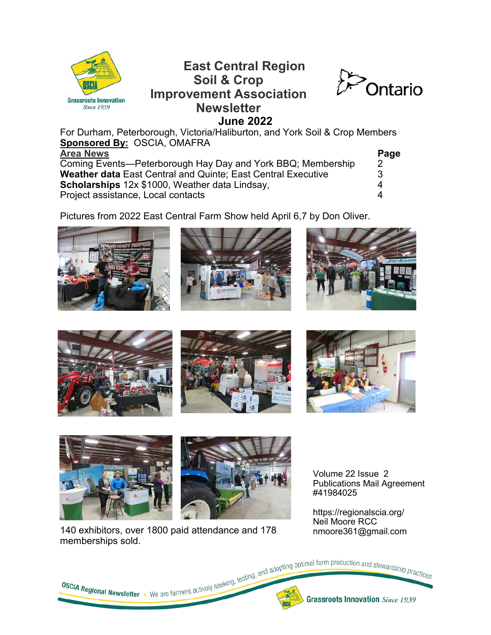

## **East Central Region Soil & Crop Improvement Association Newsletter June 2022**



For Durham, Peterborough, Victoria/Haliburton, and York Soil & Crop Members **Sponsored By:** OSCIA, OMAFRA **Area News Page**

| Coming Events—Peterborough Hay Day and York BBQ; Membership         |   |
|---------------------------------------------------------------------|---|
| <b>Weather data East Central and Quinte; East Central Executive</b> |   |
| <b>Scholarships</b> 12x \$1000, Weather data Lindsay,               | 4 |
| Project assistance, Local contacts                                  |   |

Pictures from 2022 East Central Farm Show held April 6,7 by Don Oliver.











Volume 22 Issue 2 Publications Mail Agreement #41984025

140 exhibitors, over 1800 paid attendance and 178 memberships sold.

https://regionalscia.org/ Neil Moore RCC nmoore361@gmail.com

**OSCIA Regional Newsletter** • We are farmers actively seeking, testing, and adopting optimal farm production and stewardship practices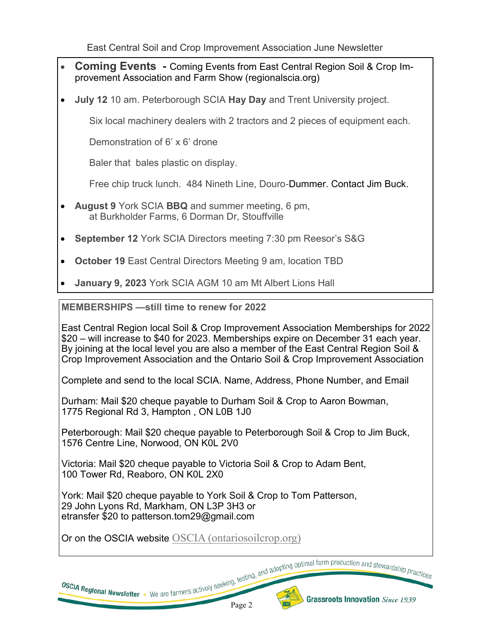East Central Soil and Crop Improvement Association June Newsletter

- **Coming Events -** Coming Events from East Central Region Soil & Crop Improvement Association and Farm Show (regionalscia.org)
- **July 12** 10 am. Peterborough SCIA **Hay Day** and Trent University project.

Six local machinery dealers with 2 tractors and 2 pieces of equipment each.

Demonstration of 6' x 6' drone

Baler that bales plastic on display.

Free chip truck lunch. 484 Nineth Line, Douro-Dummer. Contact Jim Buck.

- **August 9** York SCIA **BBQ** and summer meeting, 6 pm, at Burkholder Farms, 6 Dorman Dr, Stouffville
- **September 12** York SCIA Directors meeting 7:30 pm Reesor's S&G
- **October 19** East Central Directors Meeting 9 am, location TBD
- **January 9, 2023** York SCIA AGM 10 am Mt Albert Lions Hall

**MEMBERSHIPS —still time to renew for 2022**

East Central Region local Soil & Crop Improvement Association Memberships for 2022 \$20 – will increase to \$40 for 2023. Memberships expire on December 31 each year. By joining at the local level you are also a member of the East Central Region Soil & Crop Improvement Association and the Ontario Soil & Crop Improvement Association

Complete and send to the local SCIA. Name, Address, Phone Number, and Email

Durham: Mail \$20 cheque payable to Durham Soil & Crop to Aaron Bowman, 1775 Regional Rd 3, Hampton , ON L0B 1J0

Peterborough: Mail \$20 cheque payable to Peterborough Soil & Crop to Jim Buck, 1576 Centre Line, Norwood, ON K0L 2V0

Victoria: Mail \$20 cheque payable to Victoria Soil & Crop to Adam Bent, 100 Tower Rd, Reaboro, ON K0L 2X0

York: Mail \$20 cheque payable to York Soil & Crop to Tom Patterson, 29 John Lyons Rd, Markham, ON L3P 3H3 or etransfer \$20 to patterson.tom29@gmail.com

Or on the OSCIA website [OSCIA \(ontariosoilcrop.org\)](https://www.ontariosoilcrop.org/login-oscia/)



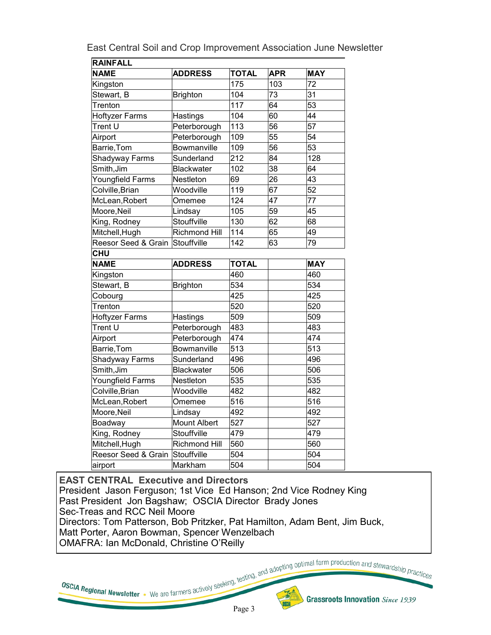| East Central Soil and Crop Improvement Association June Newsletter |
|--------------------------------------------------------------------|
|--------------------------------------------------------------------|

| <b>RAINFALL</b>       |                      |              |                 |                 |
|-----------------------|----------------------|--------------|-----------------|-----------------|
| <b>NAME</b>           | <b>ADDRESS</b>       | <b>TOTAL</b> | <b>APR</b>      | <b>MAY</b>      |
| Kingston              |                      | 175          | 103             | 72              |
| Stewart, B            | <b>Brighton</b>      | 104          | 73              | $\overline{31}$ |
| Trenton               |                      | 117          | 64              | 53              |
| <b>Hoftyzer Farms</b> | Hastings             | 104          | 60              | 44              |
| Trent U               | Peterborough         | 113          | 56              | $\overline{57}$ |
| Airport               | Peterborough         | 109          | 55              | 54              |
| Barrie, Tom           | Bowmanville          | 109          | $\overline{56}$ | $\overline{53}$ |
| Shadyway Farms        | Sunderland           | 212          | 84              | 128             |
| Smith, Jim            | <b>Blackwater</b>    | 102          | $\overline{38}$ | 64              |
| Youngfield Farms      | Nestleton            | 69           | 26              | 43              |
| Colville, Brian       | Woodville            | 119          | 67              | 52              |
| McLean, Robert        | Omemee               | 124          | 47              | $\overline{77}$ |
| Moore, Neil           | Lindsay              | 105          | 59              | 45              |
| King, Rodney          | Stouffville          | 130          | 62              | 68              |
| Mitchell, Hugh        | <b>Richmond Hill</b> | 114          | 65              | 49              |
| Reesor Seed & Grain   | Stouffville          | 142          | 63              | $\overline{79}$ |
| <b>CHU</b>            |                      |              |                 |                 |
| <b>NAME</b>           | <b>ADDRESS</b>       | <b>TOTAL</b> |                 | <b>MAY</b>      |
| Kingston              |                      | 460          |                 | 460             |
| Stewart, B            | <b>Brighton</b>      | 534          |                 | 534             |
| Cobourg               |                      | 425          |                 | 425             |
| Trenton               |                      | 520          |                 | 520             |
| <b>Hoftyzer Farms</b> | Hastings             | 509          |                 | 509             |
| Trent U               | Peterborough         | 483          |                 | 483             |
| Airport               | Peterborough         | 474          |                 | 474             |
| Barrie, Tom           | Bowmanville          | 513          |                 | 513             |
| Shadyway Farms        | Sunderland           | 496          |                 | 496             |
| Smith, Jim            | <b>Blackwater</b>    | 506          |                 | 506             |
| Youngfield Farms      | Nestleton            | 535          |                 | 535             |
| Colville, Brian       | Woodville            | 482          |                 | 482             |
| McLean, Robert        | Omemee               | 516          |                 | 516             |
| Moore, Neil           | Lindsay              | 492          |                 | 492             |
| Boadway               | <b>Mount Albert</b>  | 527          |                 | 527             |
| King, Rodney          | Stouffville          | 479          |                 | 479             |
| Mitchell, Hugh        | Richmond Hill        | 560          |                 | 560             |
| Reesor Seed & Grain   | Stouffville          | 504          |                 | 504             |
|                       |                      |              |                 |                 |

**EAST CENTRAL Executive and Directors**  President Jason Ferguson; 1st Vice Ed Hanson; 2nd Vice Rodney King Past President Jon Bagshaw; OSCIA Director Brady Jones Sec-Treas and RCC Neil Moore Directors: Tom Patterson, Bob Pritzker, Pat Hamilton, Adam Bent, Jim Buck, Matt Porter, Aaron Bowman, Spencer Wenzelbach OMAFRA: Ian McDonald, Christine O'Reilly